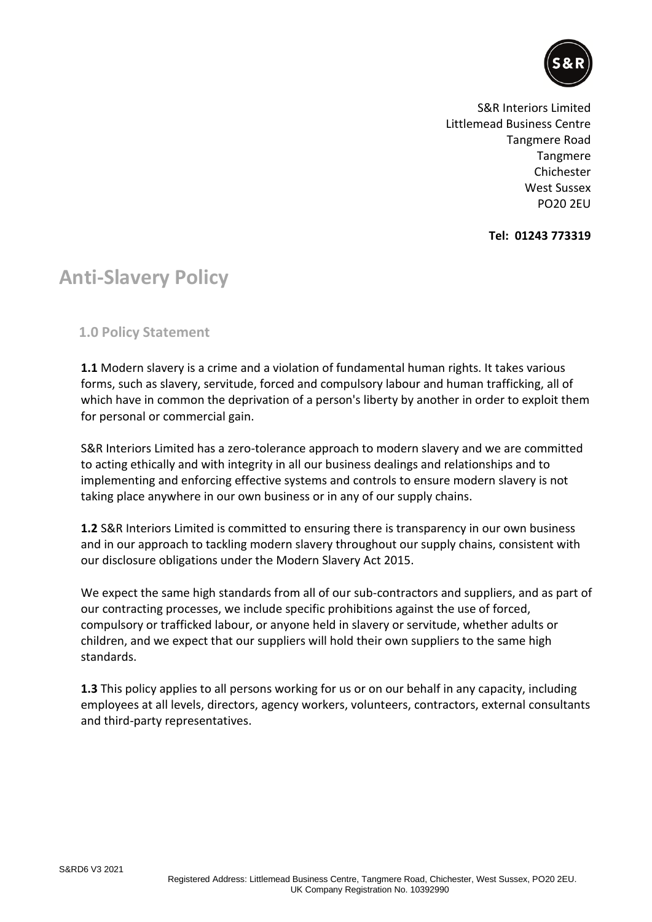

S&R Interiors Limited Littlemead Business Centre Tangmere Road Tangmere Chichester West Sussex PO20 2EU

**Tel: 01243 773319**

## **Anti-Slavery Policy**

**1.0 Policy Statement**

**1.1** Modern slavery is a crime and a violation of fundamental human rights. It takes various forms, such as slavery, servitude, forced and compulsory labour and human trafficking, all of which have in common the deprivation of a person's liberty by another in order to exploit them for personal or commercial gain.

S&R Interiors Limited has a zero-tolerance approach to modern slavery and we are committed to acting ethically and with integrity in all our business dealings and relationships and to implementing and enforcing effective systems and controls to ensure modern slavery is not taking place anywhere in our own business or in any of our supply chains.

**1.2** S&R Interiors Limited is committed to ensuring there is transparency in our own business and in our approach to tackling modern slavery throughout our supply chains, consistent with our disclosure obligations under the Modern Slavery Act 2015.

We expect the same high standards from all of our sub-contractors and suppliers, and as part of our contracting processes, we include specific prohibitions against the use of forced, compulsory or trafficked labour, or anyone held in slavery or servitude, whether adults or children, and we expect that our suppliers will hold their own suppliers to the same high standards.

**1.3** This policy applies to all persons working for us or on our behalf in any capacity, including employees at all levels, directors, agency workers, volunteers, contractors, external consultants and third-party representatives.